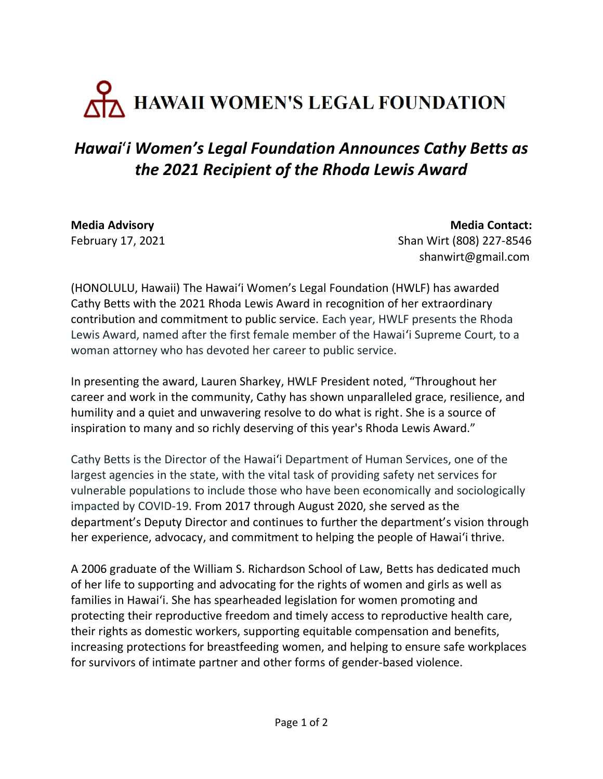## ANAII WOMEN'S LEGAL FOUNDATION

## *Hawai*'*i Women's Legal Foundation Announces Cathy Betts as the 2021 Recipient of the Rhoda Lewis Award*

**Media Advisory Media Contact:** February 17, 2021Shan Wirt (808) 227-8546 shanwirt@gmail.com

(HONOLULU, Hawaii) The Hawai'i Women's Legal Foundation (HWLF) has awarded Cathy Betts with the 2021 Rhoda Lewis Award in recognition of her extraordinary contribution and commitment to public service. Each year, HWLF presents the Rhoda Lewis Award, named after the first female member of the Hawai'i Supreme Court, to a woman attorney who has devoted her career to public service.

In presenting the award, Lauren Sharkey, HWLF President noted, "Throughout her career and work in the community, Cathy has shown unparalleled grace, resilience, and humility and a quiet and unwavering resolve to do what is right. She is a source of inspiration to many and so richly deserving of this year's Rhoda Lewis Award."

Cathy Betts is the Director of the Hawai'i Department of Human Services, one of the largest agencies in the state, with the vital task of providing safety net services for vulnerable populations to include those who have been economically and sociologically impacted by COVID-19. From 2017 through August 2020, she served as the department's Deputy Director and continues to further the department's vision through her experience, advocacy, and commitment to helping the people of Hawai'i thrive.

A 2006 graduate of the William S. Richardson School of Law, Betts has dedicated much of her life to supporting and advocating for the rights of women and girls as well as families in Hawai'i. She has spearheaded legislation for women promoting and protecting their reproductive freedom and timely access to reproductive health care, their rights as domestic workers, supporting equitable compensation and benefits, increasing protections for breastfeeding women, and helping to ensure safe workplaces for survivors of intimate partner and other forms of gender-based violence.